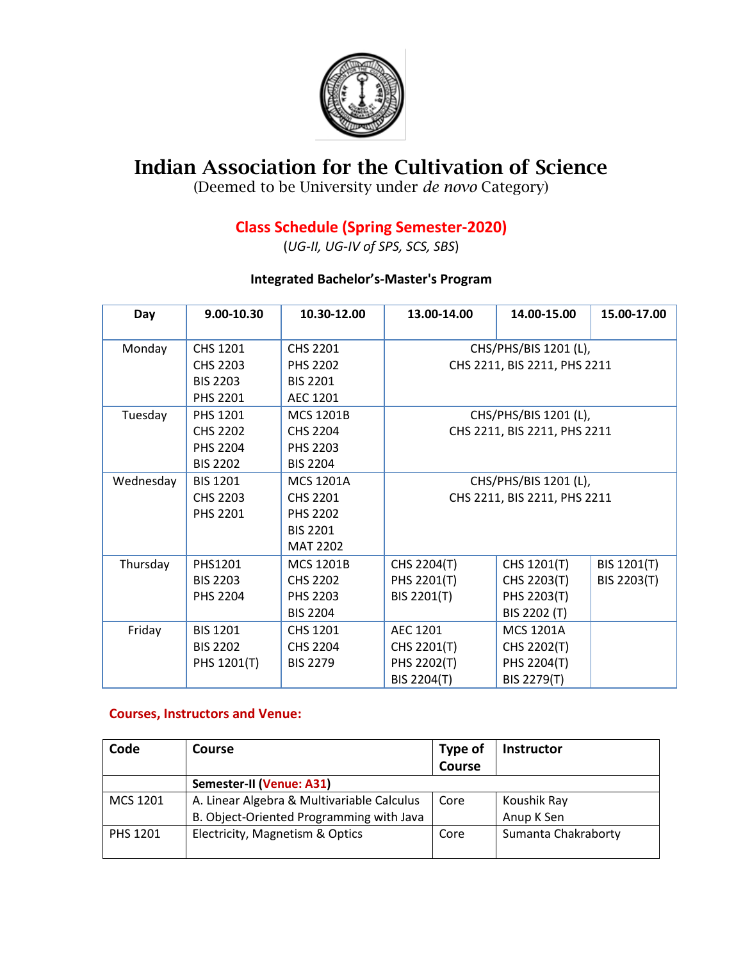

## **Indian Association for the Cultivation of Science**

(Deemed to be University under *de novo* Category)

## **Class Schedule (Spring Semester-2020)**

(*UG-II, UG-IV of SPS, SCS, SBS*)

## **Integrated Bachelor's-Master's Program**

| Day       | 9.00-10.30      | 10.30-12.00      | 13.00-14.00                  | 14.00-15.00      | 15.00-17.00 |  |
|-----------|-----------------|------------------|------------------------------|------------------|-------------|--|
| Monday    | CHS 1201        | <b>CHS 2201</b>  | CHS/PHS/BIS 1201 (L),        |                  |             |  |
|           | <b>CHS 2203</b> | <b>PHS 2202</b>  | CHS 2211, BIS 2211, PHS 2211 |                  |             |  |
|           | <b>BIS 2203</b> | <b>BIS 2201</b>  |                              |                  |             |  |
|           | <b>PHS 2201</b> | AEC 1201         |                              |                  |             |  |
| Tuesday   | PHS 1201        | <b>MCS 1201B</b> | CHS/PHS/BIS 1201 (L),        |                  |             |  |
|           | CHS 2202        | CHS 2204         | CHS 2211, BIS 2211, PHS 2211 |                  |             |  |
|           | <b>PHS 2204</b> | <b>PHS 2203</b>  |                              |                  |             |  |
|           | <b>BIS 2202</b> | <b>BIS 2204</b>  |                              |                  |             |  |
| Wednesday | <b>BIS 1201</b> | <b>MCS 1201A</b> | CHS/PHS/BIS 1201 (L),        |                  |             |  |
|           | CHS 2203        | CHS 2201         | CHS 2211, BIS 2211, PHS 2211 |                  |             |  |
|           | <b>PHS 2201</b> | <b>PHS 2202</b>  |                              |                  |             |  |
|           |                 | <b>BIS 2201</b>  |                              |                  |             |  |
|           |                 | <b>MAT 2202</b>  |                              |                  |             |  |
| Thursday  | PHS1201         | <b>MCS 1201B</b> | CHS 2204(T)                  | CHS 1201(T)      | BIS 1201(T) |  |
|           | <b>BIS 2203</b> | <b>CHS 2202</b>  | PHS 2201(T)                  | CHS 2203(T)      | BIS 2203(T) |  |
|           | <b>PHS 2204</b> | <b>PHS 2203</b>  | BIS 2201(T)                  | PHS 2203(T)      |             |  |
|           |                 | <b>BIS 2204</b>  |                              | BIS 2202 (T)     |             |  |
| Friday    | <b>BIS 1201</b> | CHS 1201         | <b>AEC 1201</b>              | <b>MCS 1201A</b> |             |  |
|           | <b>BIS 2202</b> | <b>CHS 2204</b>  | CHS 2201(T)                  | CHS 2202(T)      |             |  |
|           | PHS 1201(T)     | <b>BIS 2279</b>  | PHS 2202(T)                  | PHS 2204(T)      |             |  |
|           |                 |                  | BIS 2204(T)                  | BIS 2279(T)      |             |  |

## **Courses, Instructors and Venue:**

| Code            | Course                                     | Type of       | <b>Instructor</b>   |  |  |
|-----------------|--------------------------------------------|---------------|---------------------|--|--|
|                 |                                            | <b>Course</b> |                     |  |  |
|                 | Semester-II (Venue: A31)                   |               |                     |  |  |
| MCS 1201        | A. Linear Algebra & Multivariable Calculus | Core          | Koushik Ray         |  |  |
|                 | B. Object-Oriented Programming with Java   |               | Anup K Sen          |  |  |
| <b>PHS 1201</b> | Electricity, Magnetism & Optics            | Core          | Sumanta Chakraborty |  |  |
|                 |                                            |               |                     |  |  |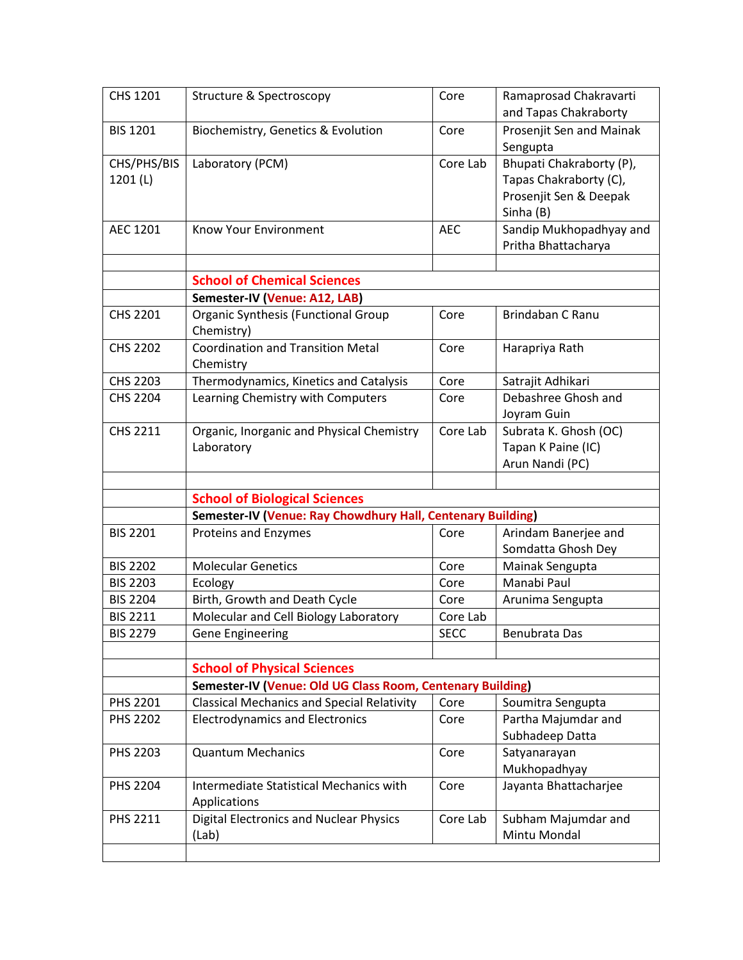| CHS 1201                | Structure & Spectroscopy                                    | Core        | Ramaprosad Chakravarti<br>and Tapas Chakraborty                                           |  |  |  |
|-------------------------|-------------------------------------------------------------|-------------|-------------------------------------------------------------------------------------------|--|--|--|
| <b>BIS 1201</b>         | Biochemistry, Genetics & Evolution                          | Core        | Prosenjit Sen and Mainak<br>Sengupta                                                      |  |  |  |
| CHS/PHS/BIS<br>1201 (L) | Laboratory (PCM)                                            | Core Lab    | Bhupati Chakraborty (P),<br>Tapas Chakraborty (C),<br>Prosenjit Sen & Deepak<br>Sinha (B) |  |  |  |
| AEC 1201                | <b>Know Your Environment</b>                                | <b>AEC</b>  | Sandip Mukhopadhyay and<br>Pritha Bhattacharya                                            |  |  |  |
|                         |                                                             |             |                                                                                           |  |  |  |
|                         | <b>School of Chemical Sciences</b>                          |             |                                                                                           |  |  |  |
|                         | Semester-IV (Venue: A12, LAB)                               |             |                                                                                           |  |  |  |
| CHS 2201                | <b>Organic Synthesis (Functional Group</b><br>Chemistry)    | Core        | Brindaban C Ranu                                                                          |  |  |  |
| <b>CHS 2202</b>         | <b>Coordination and Transition Metal</b><br>Chemistry       | Core        | Harapriya Rath                                                                            |  |  |  |
| <b>CHS 2203</b>         | Thermodynamics, Kinetics and Catalysis                      | Core        | Satrajit Adhikari                                                                         |  |  |  |
| <b>CHS 2204</b>         | Learning Chemistry with Computers                           | Core        | Debashree Ghosh and<br>Joyram Guin                                                        |  |  |  |
| <b>CHS 2211</b>         | Organic, Inorganic and Physical Chemistry<br>Laboratory     | Core Lab    | Subrata K. Ghosh (OC)<br>Tapan K Paine (IC)<br>Arun Nandi (PC)                            |  |  |  |
|                         | <b>School of Biological Sciences</b>                        |             |                                                                                           |  |  |  |
|                         | Semester-IV (Venue: Ray Chowdhury Hall, Centenary Building) |             |                                                                                           |  |  |  |
| <b>BIS 2201</b>         | Proteins and Enzymes                                        | Core        | Arindam Banerjee and<br>Somdatta Ghosh Dey                                                |  |  |  |
| <b>BIS 2202</b>         | <b>Molecular Genetics</b>                                   | Core        | Mainak Sengupta                                                                           |  |  |  |
| <b>BIS 2203</b>         | Ecology                                                     | Core        | Manabi Paul                                                                               |  |  |  |
| <b>BIS 2204</b>         | Birth, Growth and Death Cycle                               | Core        | Arunima Sengupta                                                                          |  |  |  |
| <b>BIS 2211</b>         | Molecular and Cell Biology Laboratory                       | Core Lab    |                                                                                           |  |  |  |
| <b>BIS 2279</b>         | Gene Engineering                                            | <b>SECC</b> | Benubrata Das                                                                             |  |  |  |
|                         |                                                             |             |                                                                                           |  |  |  |
|                         | <b>School of Physical Sciences</b>                          |             |                                                                                           |  |  |  |
|                         | Semester-IV (Venue: Old UG Class Room, Centenary Building)  |             |                                                                                           |  |  |  |
| PHS 2201                | <b>Classical Mechanics and Special Relativity</b>           | Core        | Soumitra Sengupta                                                                         |  |  |  |
| <b>PHS 2202</b>         | <b>Electrodynamics and Electronics</b>                      | Core        | Partha Majumdar and<br>Subhadeep Datta                                                    |  |  |  |
| PHS 2203                | <b>Quantum Mechanics</b>                                    | Core        | Satyanarayan<br>Mukhopadhyay                                                              |  |  |  |
| <b>PHS 2204</b>         | Intermediate Statistical Mechanics with<br>Applications     | Core        | Jayanta Bhattacharjee                                                                     |  |  |  |
| PHS 2211                | <b>Digital Electronics and Nuclear Physics</b><br>(Lab)     | Core Lab    | Subham Majumdar and<br>Mintu Mondal                                                       |  |  |  |